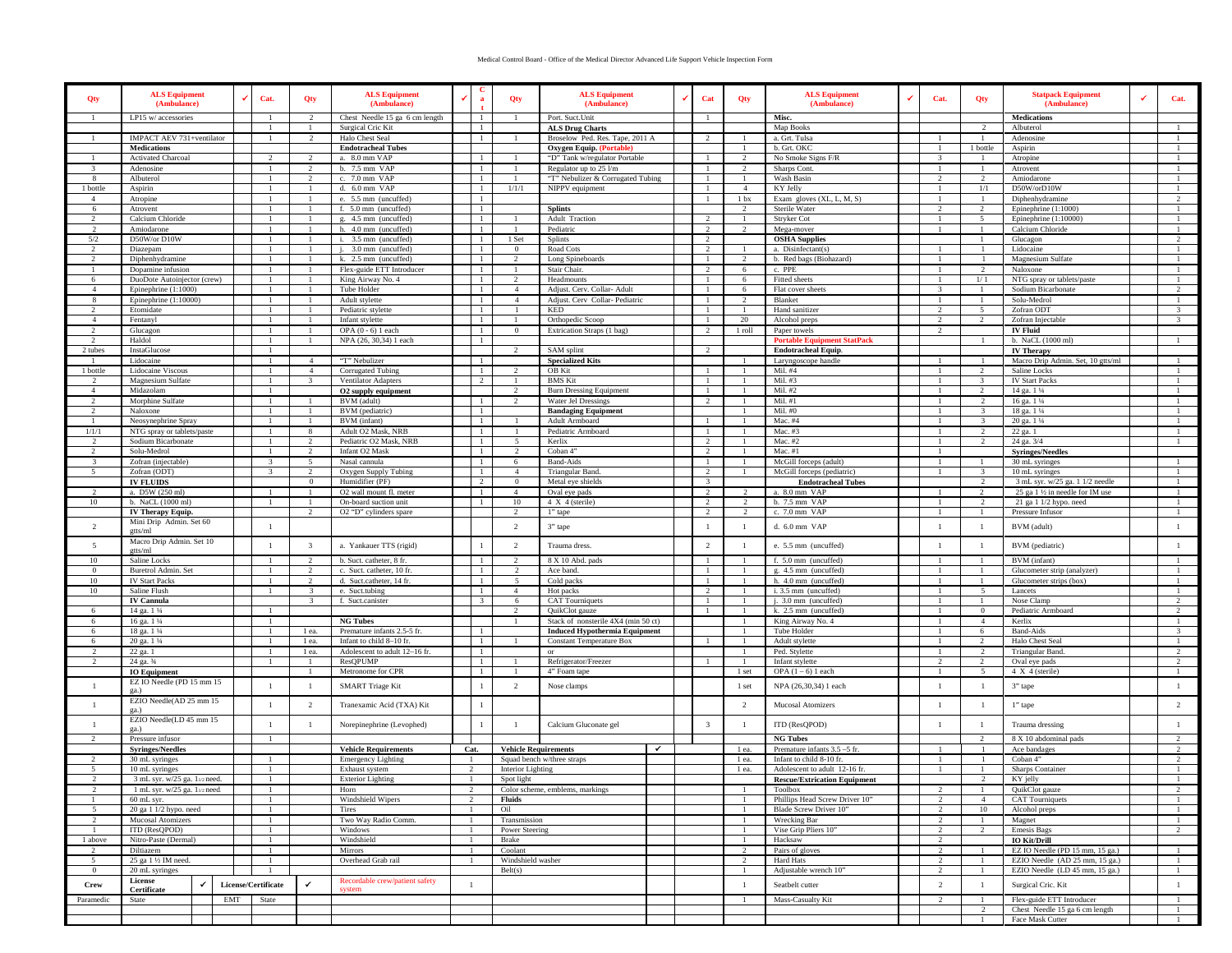## Medical Control Board - Office of the Medical Director Advanced Life Support Vehicle Inspection Form

| Qty                            | <b>ALS Equipment</b><br>(Ambulance)                      | Cat.                                | Qty                             | <b>ALS Equipment</b><br>(Ambulance)                     |                                 | Qty                              | <b>ALS Equipment</b><br>(Ambulance)                       |  | Cat                                    | Qty                            | <b>ALS Equipment</b><br>(Ambulance)          | Cat.                    | Qty                      | <b>Statpack Equipment</b><br>(Ambulance)          | Cat.              |
|--------------------------------|----------------------------------------------------------|-------------------------------------|---------------------------------|---------------------------------------------------------|---------------------------------|----------------------------------|-----------------------------------------------------------|--|----------------------------------------|--------------------------------|----------------------------------------------|-------------------------|--------------------------|---------------------------------------------------|-------------------|
|                                | LP15 w/ accessories                                      |                                     | $\mathcal{L}$                   | Chest Needle 15 ga 6 cm length                          | $\mathbf{1}$                    | -1                               | Port. Suct.Unit                                           |  | - 1                                    |                                | Misc.                                        |                         |                          | <b>Medications</b>                                |                   |
|                                | IMPACT AEV 731+ventilator                                |                                     | 2                               | Surgical Cric Kit<br>Halo Chest Seal                    | $\mathbf{1}$<br>$\mathbf{1}$    |                                  | <b>ALS Drug Charts</b><br>Broselow Ped. Res. Tape, 2011 A |  | 2                                      |                                | Map Books<br>a. Grt. Tulsa                   |                         | -1                       | Albuterol                                         |                   |
|                                | <b>Medications</b>                                       |                                     |                                 | <b>Endotracheal Tubes</b>                               |                                 |                                  | <b>Oxygen Equip.</b> (Portable)                           |  |                                        |                                | b. Grt. OKC                                  |                         | 1 bottle                 | Adenosine<br>Aspirin                              |                   |
|                                | Activated Charcoal                                       |                                     | $\mathcal{L}$                   | a. 8.0 mm VAP                                           | $\overline{1}$                  |                                  | "D" Tank w/regulator Portable                             |  |                                        | $\gamma$                       | No Smoke Signs F/R                           |                         |                          | Atropine                                          |                   |
|                                | Adenosine                                                |                                     | $\mathcal{D}$                   | b. 7.5 mm VAP                                           | $\overline{1}$                  |                                  | Regulator up to 25 l/m                                    |  |                                        | 2                              | Sharps Cont.                                 |                         | $\overline{1}$           | Atrovent                                          |                   |
| 8                              | Albuterol                                                |                                     | $\overline{2}$                  | c. 7.0 mm VAP                                           | $\overline{1}$                  | -1                               | "T" Nebulizer & Corrugated Tubing                         |  | $\overline{1}$                         |                                | Wash Basin                                   | $\mathcal{D}$           | $\overline{2}$           | Amiodarone                                        |                   |
| 1 bottle                       | Aspirin                                                  |                                     |                                 | d. 6.0 mm VAP                                           | $\overline{1}$                  | 1/1/1                            | NIPPV equipment                                           |  | -1                                     | $\overline{4}$                 | KY Jelly                                     |                         | 1/1                      | D50W/orD10W                                       |                   |
| 4                              | Atropine                                                 |                                     | $\mathbf{1}$                    | e. 5.5 mm (uncuffed)                                    | $\mathbf{1}$<br>-1              |                                  |                                                           |  | -1                                     | 1 <sub>bx</sub>                | Exam gloves $(XL, L, M, S)$                  | $\mathcal{L}$           | - 1                      | Diphenhydramine                                   | $\mathfrak{D}$    |
| 6<br>$\mathfrak{D}$            | Atrovent<br>Calcium Chloride                             |                                     |                                 | f. 5.0 mm (uncuffed)<br>g. 4.5 mm (uncuffed)            | -1                              |                                  | <b>Splints</b><br><b>Adult Traction</b>                   |  | <sup>2</sup>                           | -2                             | Sterile Water<br>Stryker Cot                 |                         | $\overline{2}$<br>$\sim$ | Epinephrine $(1:1000)$<br>Epinephrine $(1:10000)$ |                   |
|                                | Amiodarone                                               |                                     |                                 | h. 4.0 mm (uncuffed)                                    | $\overline{1}$                  |                                  | Pediatric                                                 |  | 2                                      |                                | Mega-mover                                   |                         |                          | Calcium Chloride                                  |                   |
| 5/2                            | D50W/or D10W                                             |                                     |                                 | i. 3.5 mm (uncuffed)                                    | $\mathbf{1}$                    | 1 Set                            | <b>Splints</b>                                            |  | $\overline{2}$                         |                                | <b>OSHA Supplies</b>                         |                         |                          | Glucagon                                          | $\overline{2}$    |
|                                | Diazepam                                                 |                                     |                                 | 3.0 mm (uncuffed)                                       | -1                              | $\Omega$                         | Road Cots                                                 |  | $\overline{2}$                         |                                | a. Disinfectant(s)                           |                         |                          | Lidocaine                                         |                   |
| $\mathcal{L}$                  | Diphenhydramine                                          |                                     | -1                              | k. 2.5 mm (uncuffed)                                    | $\mathbf{1}$                    | $\overline{2}$                   | Long Spineboards                                          |  | -1                                     | $\mathcal{L}$                  | b. Red bags (Biohazard)                      |                         | -1                       | Magnesium Sulfate                                 |                   |
| 1                              | Dopamine infusion                                        |                                     |                                 | Flex-guide ETT Introducer                               | -1                              |                                  | Stair Chair.                                              |  | $\overline{2}$                         | -6                             | c. PPE                                       |                         | $\overline{2}$           | Naloxone                                          | -1                |
| 6<br>$\overline{4}$            | DuoDote Autoinjector (crew)<br>Epinephrine (1:1000)      |                                     |                                 | King Airway No. 4<br>Tube Holder                        | -1<br>$\overline{1}$            | $\mathfrak{D}$<br>$\overline{4}$ | Headmounts<br>Adjust. Cerv. Collar- Adult                 |  |                                        | -6                             | Fitted sheets<br>Flat cover sheets           |                         | 1/1                      | NTG spray or tablets/paste<br>Sodium Bicarbonate  | 2                 |
| 8                              | Epinephrine $(1:10000)$                                  |                                     |                                 | Adult stylette                                          | $\mathbf{1}$                    | 4                                | Adjust. Cerv Collar-Pediatric                             |  | $\overline{1}$                         | $\gamma$                       | Blanket                                      |                         |                          | Solu-Medrol                                       | $\mathbf{1}$      |
|                                | Etomidate                                                |                                     | $\overline{1}$                  | Pediatric stylette                                      | -1                              |                                  | KED                                                       |  | -1                                     |                                | Hand sanitizer                               | $\mathcal{D}$           | 5                        | Zofran ODT                                        | 3                 |
| $\overline{4}$                 | Fentanyl                                                 |                                     | $\overline{1}$                  | Infant stylette                                         | -1                              | -1                               | Orthopedic Scoop                                          |  | -1                                     | 20                             | Alcohol preps                                | $\mathfrak{D}$          | 2                        | Zofran Injectable                                 | 3                 |
| 2                              | Glucagon                                                 |                                     | -1                              | OPA $(0 - 6)$ 1 each                                    | -1                              | $\overline{0}$                   | Extrication Straps (1 bag)                                |  | 2                                      | 1 roll                         | Paper towels                                 | 2                       |                          | <b>IV Fluid</b>                                   |                   |
| $\mathcal{D}$                  | Haldol                                                   |                                     |                                 | NPA (26, 30,34) 1 each                                  | -1                              |                                  |                                                           |  |                                        |                                | <b>Portable Equip</b><br>nent StatPack       |                         |                          | b. NaCL (1000 ml)                                 |                   |
| 2 tubes                        | InstaGlucose                                             |                                     | $\overline{A}$                  |                                                         |                                 | $\overline{2}$                   | SAM splint                                                |  | $\overline{2}$                         |                                | <b>Endotracheal Equip.</b>                   |                         | $\overline{1}$           | <b>IV Therapy</b>                                 |                   |
| 1 bottle                       | Lidocaine<br>Lidocaine Viscous                           |                                     | $\overline{4}$                  | "T" Nebulizer<br>Corrugated Tubing                      | $\mathbf{1}$<br>$\mathbf{1}$    |                                  | <b>Specialized Kits</b><br>OB Kit                         |  | 1                                      |                                | Laryngoscope handle<br>Mil. #4               |                         | $\overline{2}$           | Macro Drip Admin. Set, 10 gtts/ml<br>Saline Locks | -1                |
| $\mathcal{L}$                  | Magnesium Sulfate                                        |                                     | $\mathcal{R}$                   | Ventilator Adapters                                     | 2                               | -1                               | <b>BMS</b> Kit                                            |  | -1                                     |                                | Mil. #3                                      |                         | $\mathcal{R}$            | <b>IV Start Packs</b>                             | -1                |
| $\overline{4}$                 | Midazolam                                                |                                     |                                 | O2 supply equipment                                     |                                 | 2                                | <b>Burn Dressing Equipment</b>                            |  | -1                                     |                                | Mil. #2                                      |                         | $\overline{2}$           | 14 ga. 1 1/4                                      | -1                |
| $\mathfrak{D}$                 | Morphine Sulfate                                         |                                     |                                 | BVM (adult)                                             | -1                              | $\mathfrak{D}$                   | <b>Water Jel Dressings</b>                                |  | $\overline{2}$                         |                                | Mil. #1                                      |                         | $\overline{2}$           | 16 ga. 1 1/4                                      |                   |
| $\gamma$                       | Naloxone                                                 |                                     |                                 | BVM (pediatric)                                         | $\overline{1}$                  |                                  | <b>Bandaging Equipment</b>                                |  |                                        |                                | Mil. #0                                      |                         | $\mathbf{3}$             | 18 ga. 1 1/4                                      |                   |
|                                | Neosynephrine Spray                                      |                                     |                                 | BVM (infant)                                            | $\mathbf{1}$                    |                                  | Adult Armboard                                            |  | $\overline{1}$                         |                                | Mac. #4                                      |                         |                          | 20 ga. 1 1/4                                      |                   |
| 1/1/1                          | NTG spray or tablets/paste                               |                                     | 8<br>$\overline{2}$             | Adult O2 Mask, NRB                                      | $\mathbf{1}$                    |                                  | Pediatric Armboard                                        |  | -1                                     |                                | Mac. #3                                      |                         |                          | $\overline{22}$ ga. 1                             | 1                 |
| $\overline{2}$<br>2            | Sodium Bicarbonate<br>Solu-Medrol                        |                                     | -2                              | Pediatric O2 Mask, NRB<br>Infant O2 Mask                | $\mathbf{1}$<br>-1              | -5<br>2                          | Kerlix<br>Coban 4"                                        |  | $\overline{2}$<br>-2                   |                                | Mac. #2<br>Mac. $#1$                         |                         | -2                       | 24 ga. 3/4<br><b>Syringes/Needles</b>             | -1                |
| $\mathcal{R}$                  | Zofran (injectable)                                      |                                     | $\sim$                          | Nasal cannula                                           | $\mathbf{1}$                    | -6                               | <b>Band-Aids</b>                                          |  | $\overline{1}$                         |                                | McGill forceps (adult)                       |                         |                          | 30 mL syringes                                    |                   |
| 5                              | Zofran (ODT)                                             |                                     | $\mathcal{D}$                   | Oxygen Supply Tubing                                    | $\overline{1}$                  | $\overline{4}$                   | Triangular Band.                                          |  | 2                                      |                                | McGill forceps (pediatric)                   |                         | $\mathcal{R}$            | 10 mL syringes                                    |                   |
|                                | <b>IV FLUIDS</b>                                         |                                     | $\mathbf{0}$                    | Humidifier (PF)                                         | $\overline{2}$                  | $\overline{0}$                   | Metal eye shields                                         |  | $\overline{\mathbf{3}}$                |                                | <b>Endotracheal Tubes</b>                    |                         | $\overline{2}$           | 3 mL syr. w/25 ga. 1 1/2 needle                   |                   |
|                                | a. D5W (250 ml)                                          |                                     |                                 | O2 wall mount fl. meter                                 | $\mathbf{1}$                    | $\overline{4}$                   | Oval eye pads                                             |  | $\overline{2}$                         | $\mathfrak{D}$                 | a. 8.0 mm VAP                                |                         | 2                        | 25 ga 1 1/2 in needle for IM use                  | 1                 |
| 10                             | b. NaCL (1000 ml)                                        |                                     | $\mathbf{1}$                    | On-board suction unit                                   | $\mathbf{1}$                    | 10                               | $4 X 4$ (sterile)                                         |  | $\overline{2}$                         | $\mathfrak{D}$                 | b. 7.5 mm VAP                                |                         | $\overline{2}$           | 21 ga 1 1/2 hypo. need                            | -1                |
|                                | <b>IV Therapy Equip.</b>                                 |                                     | $\overline{2}$                  | O2 "D" cylinders spare                                  |                                 | 2                                | 1" tape                                                   |  | $\overline{2}$                         | 2                              | c. 7.0 mm VAP                                |                         |                          | Pressure Infusor                                  |                   |
| $\overline{2}$                 | Mini Drip Admin. Set 60<br>etts/ml                       | $\overline{1}$                      |                                 |                                                         |                                 | 2                                | 3" tape                                                   |  | -1                                     |                                | d. 6.0 mm VAP                                | -1                      | -1                       | BVM (adult)                                       |                   |
| 5                              | Macro Drip Admin. Set 10                                 |                                     | $\overline{\mathbf{3}}$         | a. Yankauer TTS (rigid)                                 |                                 | 2                                | Trauma dress.                                             |  | $\overline{2}$                         |                                | e. 5.5 mm (uncuffed)                         |                         | -1                       | BVM (pediatric)                                   |                   |
|                                | gtts/ml                                                  |                                     |                                 |                                                         |                                 |                                  |                                                           |  |                                        |                                |                                              |                         |                          |                                                   |                   |
| 10<br>$\mathbf{0}$             | Saline Locks<br>Buretrol Admin. Set                      |                                     | $\mathcal{D}$<br>$\overline{2}$ | b. Suct. catheter, 8 fr.<br>c. Suct. catheter, 10 fr    | $\overline{1}$<br>$\mathbf{1}$  | $\gamma$<br>2                    | 8 X 10 Abd. pads<br>Ace band.                             |  | $\overline{1}$<br>$\overline{1}$       |                                | f. 5.0 mm (uncuffed)<br>g. 4.5 mm (uncuffed) |                         | -1                       | BVM (infant)<br>Glucometer strip (analyzer)       | $\overline{1}$    |
| 10                             | <b>IV Start Packs</b>                                    |                                     | $\overline{2}$                  | d. Suct.catheter, 14 fr.                                | $\mathbf{1}$                    | 5                                | Cold packs                                                |  | -1                                     |                                | h. 4.0 mm (uncuffed)                         |                         |                          | Glucometer strips (box)                           |                   |
| 10                             | Saline Flush                                             |                                     | $\mathcal{R}$                   | e. Suct.tubing                                          | -1                              | $\overline{4}$                   | Hot packs                                                 |  | 2                                      |                                | i. 3.5 mm (uncuffed)                         |                         | -5                       | Lancets                                           | -1                |
|                                | <b>IV Cannula</b>                                        |                                     | -3.                             | f. Suct.canister                                        | -3                              | 6                                | <b>CAT Tourniquets</b>                                    |  | -1                                     |                                | j. 3.0 mm (uncuffed)                         |                         |                          | Nose Clamp                                        | 2                 |
| 6                              | 14 ga. 1 1/4                                             |                                     |                                 |                                                         |                                 |                                  | QuikClot gauze                                            |  |                                        |                                | k. $2.5$ mm (uncuffed)                       |                         | $\Omega$                 | Pediatric Armboard                                |                   |
| 6                              | 16 ga. 1 1/4                                             |                                     |                                 | <b>NG Tubes</b>                                         |                                 |                                  | Stack of nonsterile 4X4 (min 50 ct)                       |  |                                        |                                | King Airway No. 4                            |                         | $\overline{4}$           | Kerlix                                            |                   |
| 6                              | 18 ga. 1 1/4                                             |                                     | 1 ea.                           | Premature infants 2.5-5 fr.<br>Infant to child 8-10 fr. | -1<br>-1                        |                                  | <b>Induced Hypothermia Equipment</b>                      |  |                                        |                                | Tube Holder                                  |                         | 6                        | <b>Band-Aids</b><br>Halo Chest Seal               | $\mathcal{R}$     |
| 6<br>$2^{1}$                   | 20 ga. 1 1/4<br>22 ga. 1                                 |                                     | 1 ea.<br>1 ea.                  | Adolescent to adult 12-16 fr.                           | -1                              |                                  | <b>Constant Temperature Box</b><br>or                     |  |                                        |                                | Adult stylette<br>Ped. Stylette              |                         | -2                       | <b>Triangular Band</b>                            | 2                 |
| 2                              | 24 ga. 3/4                                               |                                     |                                 | ResQPUMP                                                | -1                              |                                  | Refrigerator/Freezer                                      |  |                                        |                                | Infant stylette                              |                         | $\overline{2}$           | Oval eye pads                                     | $\overline{2}$    |
|                                | <b>IO</b> Equipment                                      |                                     |                                 | Metronome for CPR                                       | $\overline{1}$                  |                                  | 4" Foam tape                                              |  |                                        | 1 set                          | OPA $(1 - 6)$ 1 each                         |                         | -5                       | $4 X 4$ (sterile)                                 |                   |
| $\mathbf{1}$                   | EZ IO Needle (PD 15 mm 15                                | $\overline{1}$                      | $\mathbf{1}$                    | <b>SMART</b> Triage Kit                                 |                                 | $\overline{2}$                   | Nose clamps                                               |  |                                        | 1 set                          | NPA (26,30,34) 1 each                        | $\overline{1}$          | $\mathbf{1}$             | 3" tape                                           | -1                |
|                                | ga.)<br>EZIO Needle(AD 25 mm 15                          |                                     |                                 |                                                         |                                 |                                  |                                                           |  |                                        |                                |                                              |                         |                          |                                                   |                   |
| $\mathbf{1}$                   | $\sigma$ a.)                                             | $\overline{1}$                      | $\overline{2}$                  | Tranexamic Acid (TXA) Kit                               | $\overline{1}$                  |                                  |                                                           |  |                                        | $\overline{2}$                 | Mucosal Atomizers                            | $\overline{1}$          | $\overline{1}$           | 1" tape                                           | $\overline{2}$    |
|                                | EZIO Needle(LD 45 mm 15                                  | $\overline{1}$                      | $\mathbf{1}$                    | Norepinephrine (Levophed)                               | $\overline{1}$                  | - 1                              | Calcium Gluconate gel                                     |  | $\overline{\mathbf{3}}$                | $\overline{1}$                 | ITD (ResQPOD)                                | $\overline{1}$          | - 1                      | Trauma dressing                                   | -1                |
|                                | ga.)<br>Pressure infusor                                 |                                     |                                 |                                                         |                                 |                                  |                                                           |  |                                        |                                | <b>NG Tubes</b>                              |                         | $\mathcal{D}$            | 8 X 10 abdominal pads                             | $\gamma$          |
|                                | <b>Syringes/Needles</b>                                  |                                     |                                 | <b>Vehicle Requirements</b>                             | Cat.                            | <b>Vehicle Requirements</b>      | ✔                                                         |  |                                        | 1 ea.                          | Premature infants 3.5 -5 fr.                 |                         |                          | Ace bandages                                      | $\overline{2}$    |
| 2                              | 30 mL syringes                                           |                                     |                                 | <b>Emergency Lighting</b>                               |                                 |                                  | Squad bench w/three straps                                |  |                                        | 1 ea.                          | Infant to child 8-10 fr.                     |                         |                          | Coban 4"                                          | $\overline{2}$    |
| 5                              | 10 mL syringes                                           |                                     |                                 | Exhaust system                                          | 2                               | <b>Interior Lighting</b>         |                                                           |  |                                        | 1 ea.                          | Adolescent to adult 12-16 fr.                |                         | -1                       | Sharps Container                                  |                   |
|                                | $3 \text{ mL}$ syr $\frac{w}{25}$ ga $\frac{1}{2}$ aneed |                                     |                                 | Exterior Lighting                                       |                                 | Spot light                       |                                                           |  |                                        |                                | <b>Rescue/Extrication Equip</b>              |                         |                          | KY jelly                                          |                   |
|                                | 1 mL syr. w/25 ga. 112 need.                             | Horn<br>$\overline{2}$              |                                 |                                                         | Color scheme, emblems, markings |                                  |                                                           |  | Toolbox                                | $\mathcal{D}$                  | $\overline{1}$                               | QuikClot gauze          | $\overline{2}$           |                                                   |                   |
| $\mathbf{1}$                   | 60 mL syr.                                               | Windshield Wipers                   |                                 |                                                         | Fluids                          |                                  |                                                           |  |                                        | Phillips Head Screw Driver 10" | $\overline{2}$                               | 4                       | <b>CAT</b> Tourniquets   | $\mathbf{1}$                                      |                   |
| 5                              | 20 ga 1 1/2 hypo. need<br>Mucosal Atomizers              | Tires<br>Oil<br>Two Way Radio Comm. |                                 |                                                         |                                 |                                  |                                                           |  | Blade Screw Driver 10"<br>Wrecking Bar | 2<br>2                         | 10<br>-1                                     | Alcohol preps<br>Magnet | $\mathbf{1}$             |                                                   |                   |
| $\overline{2}$<br>$\mathbf{1}$ | ITD (ResQPOD)                                            |                                     |                                 | Windows                                                 |                                 | Transmission<br>Power Steering   |                                                           |  |                                        |                                | Vise Grip Pliers 10"                         | $\overline{2}$          | -2                       | <b>Emesis Bags</b>                                | $\mathbf{1}$<br>2 |
| 1 above                        | Nitro-Paste (Dermal)                                     |                                     |                                 | Windshield                                              | Brake                           |                                  |                                                           |  |                                        |                                | Hacksaw                                      | 2                       |                          | <b>IO Kit/Drill</b>                               |                   |
|                                | Diltiazem                                                |                                     |                                 | Mirrors                                                 |                                 | Coolant                          |                                                           |  |                                        | $\mathcal{D}$                  | Pairs of gloves                              | $\mathcal{D}$           | $\overline{1}$           | EZ IO Needle (PD 15 mm, 15 ga.)                   | <sup>1</sup>      |
| 5                              | 25 ga 1 1/2 IM need.                                     |                                     |                                 | Overhead Grab rail                                      |                                 | Windshield washer                |                                                           |  |                                        | $\mathcal{D}$                  | Hard Hats                                    | $\mathcal{D}$           | -1                       | EZIO Needle (AD 25 mm, 15 ga.)                    | -1                |
| $\bf{0}$                       | 20 mL syringes                                           |                                     |                                 |                                                         |                                 | Belt(s)                          |                                                           |  |                                        |                                | Adjustable wrench 10"                        | 2                       | -1                       | EZIO Needle (LD 45 mm, 15 ga.)                    | $\mathbf{1}$      |
| <b>Crew</b>                    | License<br>$\checkmark$<br>Certificate                   | License/Certificate                 | $\checkmark$                    | Recordable crew/patient safety<br>system                |                                 |                                  |                                                           |  |                                        | $\overline{1}$                 | Seatbelt cutter                              | $\overline{2}$          | -1                       | Surgical Cric. Kit                                | $\overline{1}$    |
| Paramedic                      | State                                                    | EMT<br>State                        |                                 |                                                         |                                 |                                  |                                                           |  |                                        |                                | Mass-Casualty Kit                            | 2                       |                          | Flex-guide ETT Introducer                         | $\overline{1}$    |
|                                |                                                          |                                     |                                 |                                                         |                                 |                                  |                                                           |  |                                        |                                |                                              |                         |                          | Chest Needle 15 ga 6 cm length                    |                   |
|                                |                                                          |                                     |                                 |                                                         |                                 |                                  |                                                           |  |                                        |                                |                                              |                         |                          | Face Mask Cutter                                  |                   |